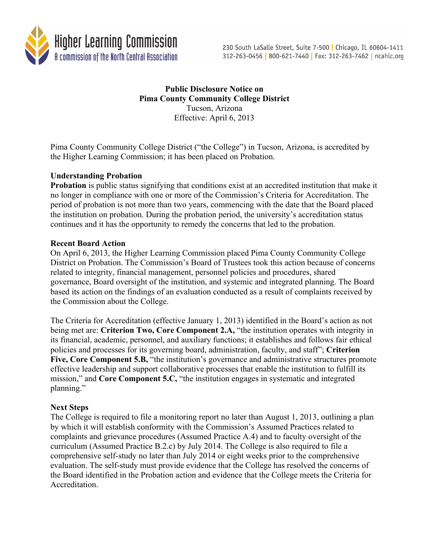

# **Public Disclosure Notice on Pima County Community College District** Tucson, Arizona Effective: April 6, 2013

Pima County Community College District ("the College") in Tucson, Arizona, is accredited by the Higher Learning Commission; it has been placed on Probation.

# **Understanding Probation**

**Probation** is public status signifying that conditions exist at an accredited institution that make it no longer in compliance with one or more of the Commission's Criteria for Accreditation. The period of probation is not more than two years, commencing with the date that the Board placed the institution on probation. During the probation period, the university's accreditation status continues and it has the opportunity to remedy the concerns that led to the probation.

### **Recent Board Action**

On April 6, 2013, the Higher Learning Commission placed Pima County Community College District on Probation. The Commission's Board of Trustees took this action because of concerns related to integrity, financial management, personnel policies and procedures, shared governance, Board oversight of the institution, and systemic and integrated planning. The Board based its action on the findings of an evaluation conducted as a result of complaints received by the Commission about the College.

The Criteria for Accreditation (effective January 1, 2013) identified in the Board's action as not being met are: **Criterion Two, Core Component 2.A,** "the institution operates with integrity in its financial, academic, personnel, and auxiliary functions; it establishes and follows fair ethical policies and processes for its governing board, administration, faculty, and staff"; **Criterion**  Five, Core Component 5.B, "the institution's governance and administrative structures promote effective leadership and support collaborative processes that enable the institution to fulfill its mission," and **Core Component 5.C,** "the institution engages in systematic and integrated planning."

### **Next Steps**

The College is required to file a monitoring report no later than August 1, 2013, outlining a plan by which it will establish conformity with the Commission's Assumed Practices related to complaints and grievance procedures (Assumed Practice A.4) and to faculty oversight of the curriculum (Assumed Practice B.2.c) by July 2014. The College is also required to file a comprehensive self-study no later than July 2014 or eight weeks prior to the comprehensive evaluation. The self-study must provide evidence that the College has resolved the concerns of the Board identified in the Probation action and evidence that the College meets the Criteria for **Accreditation**